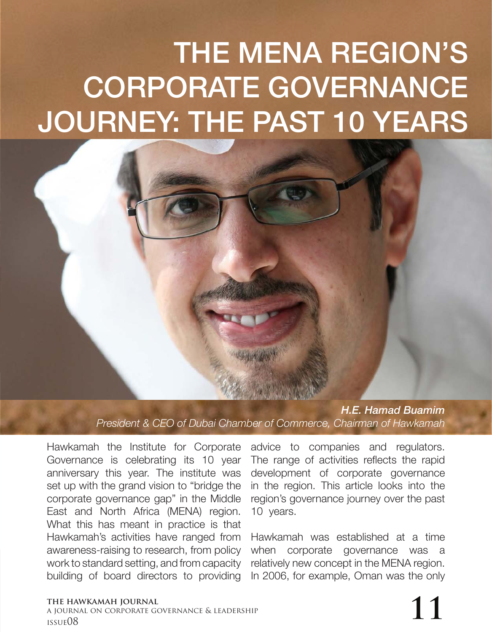## THE MENA REGION'S CORPORATE GOVERNANCE JOURNEY: THE PAST 10 YEARS

*H.E. Hamad Buamim President & CEO of Dubai Chamber of Commerce, Chairman of Hawkamah* 

Hawkamah the Institute for Corporate Governance is celebrating its 10 year anniversary this year. The institute was set up with the grand vision to "bridge the corporate governance gap" in the Middle East and North Africa (MENA) region. What this has meant in practice is that Hawkamah's activities have ranged from awareness-raising to research, from policy work to standard setting, and from capacity building of board directors to providing

advice to companies and regulators. The range of activities reflects the rapid development of corporate governance in the region. This article looks into the region's governance journey over the past 10 years.

Hawkamah was established at a time when corporate governance was a relatively new concept in the MENA region. In 2006, for example, Oman was the only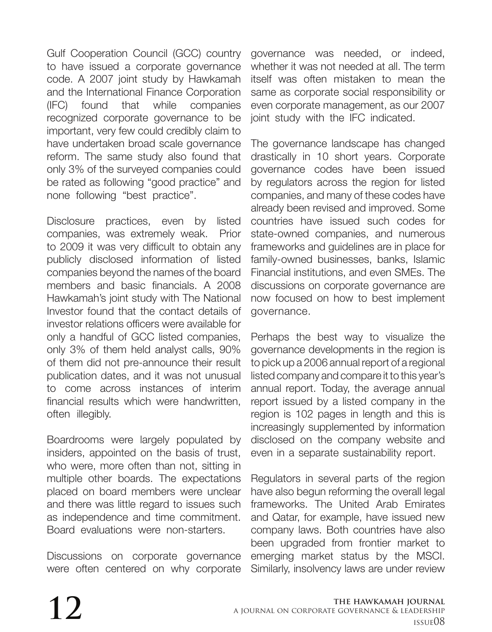Gulf Cooperation Council (GCC) country to have issued a corporate governance code. A 2007 joint study by Hawkamah and the International Finance Corporation (IFC) found that while companies recognized corporate governance to be important, very few could credibly claim to have undertaken broad scale governance reform. The same study also found that only 3% of the surveyed companies could be rated as following "good practice" and none following "best practice".

Disclosure practices, even by listed companies, was extremely weak. Prior to 2009 it was very difficult to obtain any publicly disclosed information of listed companies beyond the names of the board members and basic financials. A 2008 Hawkamah's joint study with The National Investor found that the contact details of investor relations officers were available for only a handful of GCC listed companies, only 3% of them held analyst calls, 90% of them did not pre-announce their result publication dates, and it was not unusual to come across instances of interim financial results which were handwritten, often illegibly.

Boardrooms were largely populated by insiders, appointed on the basis of trust, who were, more often than not, sitting in multiple other boards. The expectations placed on board members were unclear and there was little regard to issues such as independence and time commitment. Board evaluations were non-starters.

Discussions on corporate governance were often centered on why corporate

governance was needed, or indeed, whether it was not needed at all. The term itself was often mistaken to mean the same as corporate social responsibility or even corporate management, as our 2007 joint study with the IFC indicated.

The governance landscape has changed drastically in 10 short years. Corporate governance codes have been issued by regulators across the region for listed companies, and many of these codes have already been revised and improved. Some countries have issued such codes for state-owned companies, and numerous frameworks and guidelines are in place for family-owned businesses, banks, Islamic Financial institutions, and even SMEs. The discussions on corporate governance are now focused on how to best implement governance.

Perhaps the best way to visualize the governance developments in the region is to pick up a 2006 annual report of a regional listed company and compare it to this year's annual report. Today, the average annual report issued by a listed company in the region is 102 pages in length and this is increasingly supplemented by information disclosed on the company website and even in a separate sustainability report.

Regulators in several parts of the region have also begun reforming the overall legal frameworks. The United Arab Emirates and Qatar, for example, have issued new company laws. Both countries have also been upgraded from frontier market to emerging market status by the MSCI. Similarly, insolvency laws are under review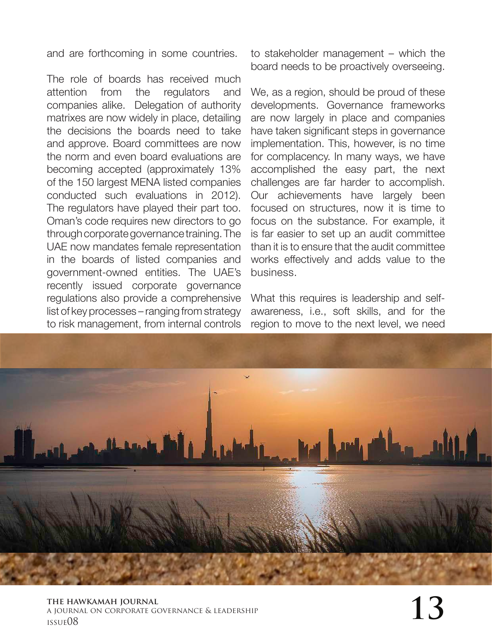and are forthcoming in some countries.

The role of boards has received much attention from the regulators and companies alike. Delegation of authority matrixes are now widely in place, detailing the decisions the boards need to take and approve. Board committees are now the norm and even board evaluations are becoming accepted (approximately 13% of the 150 largest MENA listed companies conducted such evaluations in 2012). The regulators have played their part too. Oman's code requires new directors to go through corporate governance training. The UAE now mandates female representation in the boards of listed companies and government-owned entities. The UAE's recently issued corporate governance regulations also provide a comprehensive list of key processes – ranging from strategy to risk management, from internal controls

to stakeholder management – which the board needs to be proactively overseeing.

We, as a region, should be proud of these developments. Governance frameworks are now largely in place and companies have taken significant steps in governance implementation. This, however, is no time for complacency. In many ways, we have accomplished the easy part, the next challenges are far harder to accomplish. Our achievements have largely been focused on structures, now it is time to focus on the substance. For example, it is far easier to set up an audit committee than it is to ensure that the audit committee works effectively and adds value to the business.

What this requires is leadership and selfawareness, i.e., soft skills, and for the region to move to the next level, we need